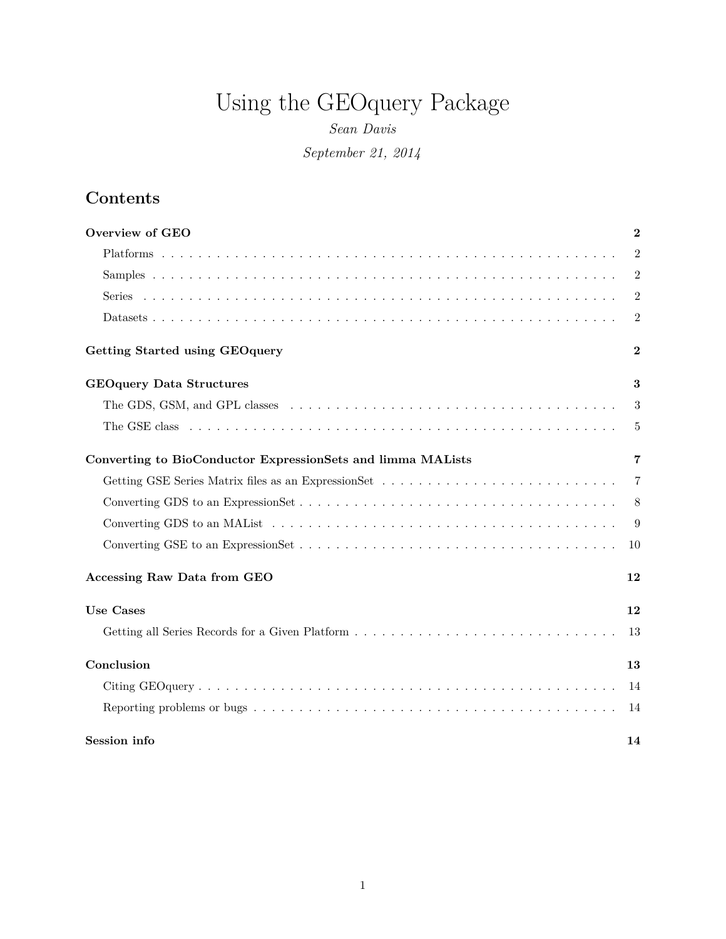# Using the GEOquery Package

*Sean Davis September 21, 2014*

## **Contents**

| Overview of GEO                                                                                                                 | $\bf{2}$       |
|---------------------------------------------------------------------------------------------------------------------------------|----------------|
|                                                                                                                                 | $\overline{2}$ |
|                                                                                                                                 | $\overline{2}$ |
|                                                                                                                                 | $\overline{2}$ |
|                                                                                                                                 | $\overline{2}$ |
| Getting Started using GEO query                                                                                                 | $\bf{2}$       |
| <b>GEOquery Data Structures</b>                                                                                                 | 3              |
| The GDS, GSM, and GPL classes $\dots \dots \dots \dots \dots \dots \dots \dots \dots \dots \dots \dots \dots \dots \dots \dots$ | 3              |
|                                                                                                                                 | 5              |
| Converting to BioConductor ExpressionSets and limma MALists                                                                     | 7              |
|                                                                                                                                 | 7              |
|                                                                                                                                 | 8              |
|                                                                                                                                 | 9              |
|                                                                                                                                 | 10             |
| <b>Accessing Raw Data from GEO</b>                                                                                              | 12             |
| <b>Use Cases</b>                                                                                                                | 12             |
|                                                                                                                                 | 13             |
| Conclusion                                                                                                                      | 13             |
|                                                                                                                                 | 14             |
|                                                                                                                                 | 14             |
| Session info                                                                                                                    | 14             |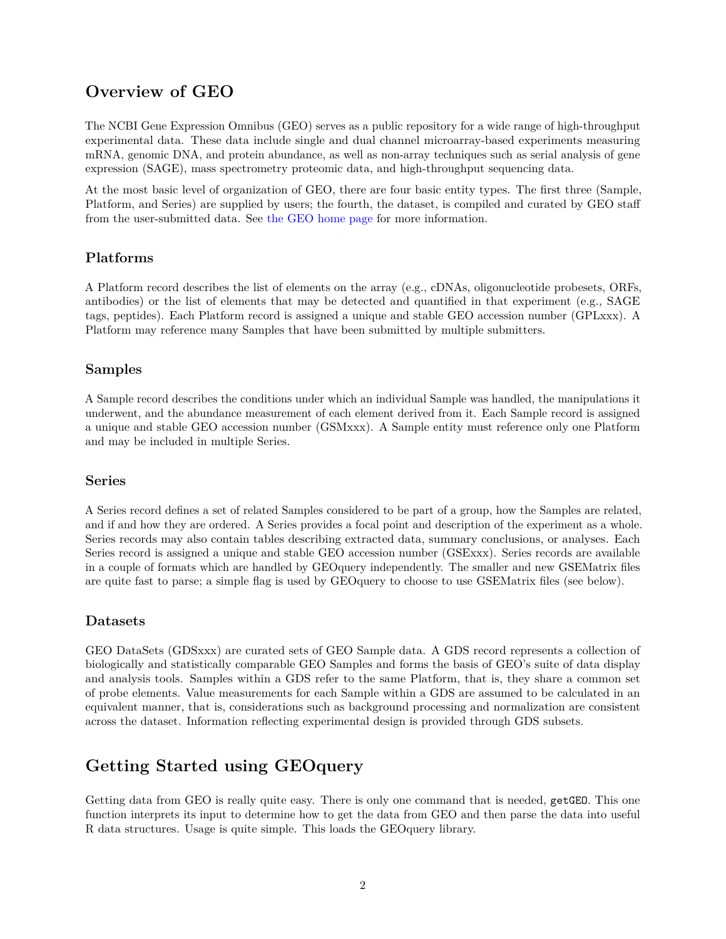## **Overview of GEO**

<span id="page-1-0"></span>The NCBI Gene Expression Omnibus (GEO) serves as a public repository for a wide range of high-throughput experimental data. These data include single and dual channel microarray-based experiments measuring mRNA, genomic DNA, and protein abundance, as well as non-array techniques such as serial analysis of gene expression (SAGE), mass spectrometry proteomic data, and high-throughput sequencing data.

At the most basic level of organization of GEO, there are four basic entity types. The first three (Sample, Platform, and Series) are supplied by users; the fourth, the dataset, is compiled and curated by GEO staff from the user-submitted data. See [the GEO home page](http://www.ncbi.nih.gov/geo) for more information.

#### **Platforms**

<span id="page-1-1"></span>A Platform record describes the list of elements on the array (e.g., cDNAs, oligonucleotide probesets, ORFs, antibodies) or the list of elements that may be detected and quantified in that experiment (e.g., SAGE tags, peptides). Each Platform record is assigned a unique and stable GEO accession number (GPLxxx). A Platform may reference many Samples that have been submitted by multiple submitters.

#### **Samples**

<span id="page-1-2"></span>A Sample record describes the conditions under which an individual Sample was handled, the manipulations it underwent, and the abundance measurement of each element derived from it. Each Sample record is assigned a unique and stable GEO accession number (GSMxxx). A Sample entity must reference only one Platform and may be included in multiple Series.

#### **Series**

<span id="page-1-3"></span>A Series record defines a set of related Samples considered to be part of a group, how the Samples are related, and if and how they are ordered. A Series provides a focal point and description of the experiment as a whole. Series records may also contain tables describing extracted data, summary conclusions, or analyses. Each Series record is assigned a unique and stable GEO accession number (GSExxx). Series records are available in a couple of formats which are handled by GEOquery independently. The smaller and new GSEMatrix files are quite fast to parse; a simple flag is used by GEOquery to choose to use GSEMatrix files (see below).

#### **Datasets**

<span id="page-1-4"></span>GEO DataSets (GDSxxx) are curated sets of GEO Sample data. A GDS record represents a collection of biologically and statistically comparable GEO Samples and forms the basis of GEO's suite of data display and analysis tools. Samples within a GDS refer to the same Platform, that is, they share a common set of probe elements. Value measurements for each Sample within a GDS are assumed to be calculated in an equivalent manner, that is, considerations such as background processing and normalization are consistent across the dataset. Information reflecting experimental design is provided through GDS subsets.

## **Getting Started using GEOquery**

<span id="page-1-5"></span>Getting data from GEO is really quite easy. There is only one command that is needed, getGEO. This one function interprets its input to determine how to get the data from GEO and then parse the data into useful R data structures. Usage is quite simple. This loads the GEOquery library.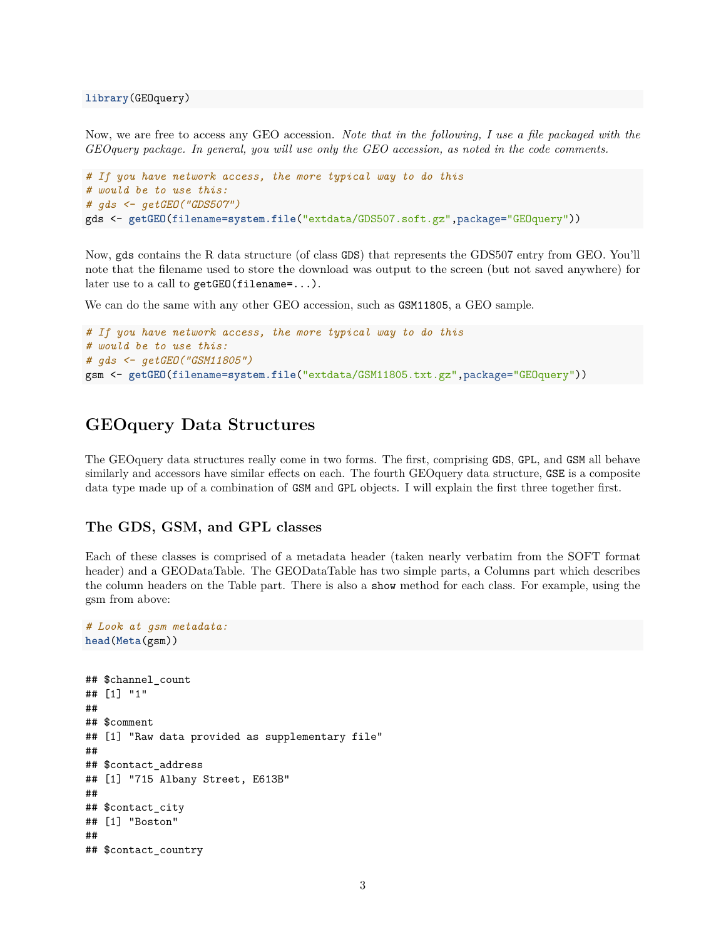Now, we are free to access any GEO accession. *Note that in the following, I use a file packaged with the GEOquery package. In general, you will use only the GEO accession, as noted in the code comments.*

```
# If you have network access, the more typical way to do this
# would be to use this:
# gds <- getGEO("GDS507")
gds <- getGEO(filename=system.file("extdata/GDS507.soft.gz",package="GEOquery"))
```
Now, gds contains the R data structure (of class GDS) that represents the GDS507 entry from GEO. You'll note that the filename used to store the download was output to the screen (but not saved anywhere) for later use to a call to getGEO(filename=...).

We can do the same with any other GEO accession, such as  $\texttt{GSM11805}$ , a GEO sample.

```
# If you have network access, the more typical way to do this
# would be to use this:
# gds <- getGEO("GSM11805")
gsm <- getGEO(filename=system.file("extdata/GSM11805.txt.gz",package="GEOquery"))
```
### **GEOquery Data Structures**

<span id="page-2-0"></span>The GEOquery data structures really come in two forms. The first, comprising GDS, GPL, and GSM all behave similarly and accessors have similar effects on each. The fourth GEOquery data structure, GSE is a composite data type made up of a combination of GSM and GPL objects. I will explain the first three together first.

#### **The GDS, GSM, and GPL classes**

*# Look at gsm metadata:*

<span id="page-2-1"></span>Each of these classes is comprised of a metadata header (taken nearly verbatim from the SOFT format header) and a GEODataTable. The GEODataTable has two simple parts, a Columns part which describes the column headers on the Table part. There is also a show method for each class. For example, using the gsm from above:

```
head(Meta(gsm))
## $channel_count
## [1] "1"
##
## $comment
## [1] "Raw data provided as supplementary file"
##
## $contact_address
## [1] "715 Albany Street, E613B"
##
## $contact_city
## [1] "Boston"
##
## $contact_country
```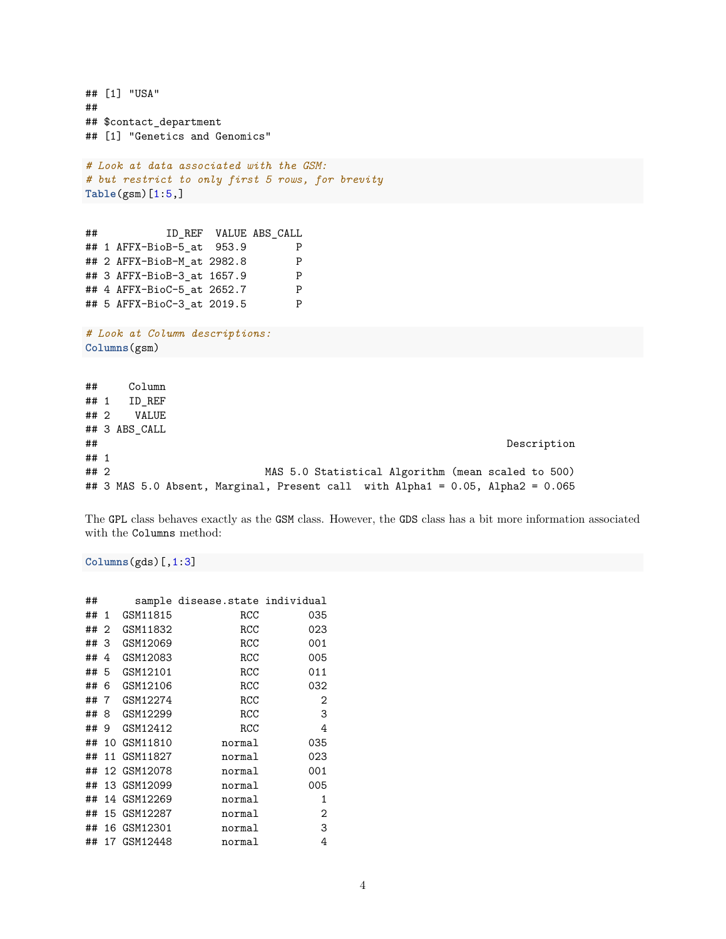```
## [1] "USA"
##
## $contact_department
## [1] "Genetics and Genomics"
# Look at data associated with the GSM:
# but restrict to only first 5 rows, for brevity
Table(gsm)[1:5,]
## ID_REF VALUE ABS_CALL
## 1 AFFX-BioB-5_at 953.9 P
## 2 AFFX-BioB-M_at 2982.8 P
## 3 AFFX-BioB-3_at 1657.9 P
## 4 AFFX-BioC-5_at 2652.7 P
## 5 AFFX-BioC-3_at 2019.5 P
# Look at Column descriptions:
Columns(gsm)
## Column
## 1 ID_REF
## 2 VALUE
## 3 ABS_CALL
## Description
## 1
## 2 MAS 5.0 Statistical Algorithm (mean scaled to 500)
## 3 MAS 5.0 Absent, Marginal, Present call with Alpha1 = 0.05, Alpha2 = 0.065
```
The GPL class behaves exactly as the GSM class. However, the GDS class has a bit more information associated with the Columns method:

#### **Columns**(gds)[,1:3]

| ## |                |             | sample disease.state individual |     |
|----|----------------|-------------|---------------------------------|-----|
| ## | 1              | GSM11815    | RCC                             | 035 |
| ## | $\overline{2}$ | GSM11832    | RCC                             | 023 |
| ## | -3             | GSM12069    | RCC                             | 001 |
| ## | 4              | GSM12083    | RCC                             | 005 |
| ## | -5             | GSM12101    | RCC                             | 011 |
| ## | 6              | GSM12106    | RCC                             | 032 |
| ## | -7             | GSM12274    | RCC                             | 2   |
| ## | 8              | GSM12299    | RCC                             | 3   |
| ## | 9              | GSM12412    | RCC                             | 4   |
| ## |                | 10 GSM11810 | normal                          | 035 |
| ## |                | 11 GSM11827 | normal                          | 023 |
| ## |                | 12 GSM12078 | normal                          | 001 |
| ## |                | 13 GSM12099 | normal                          | 005 |
| ## |                | 14 GSM12269 | normal                          | 1   |
| ## |                | 15 GSM12287 | normal                          | 2   |
| ## |                | 16 GSM12301 | normal                          | 3   |
| ## |                | 17 GSM12448 | normal                          | 4   |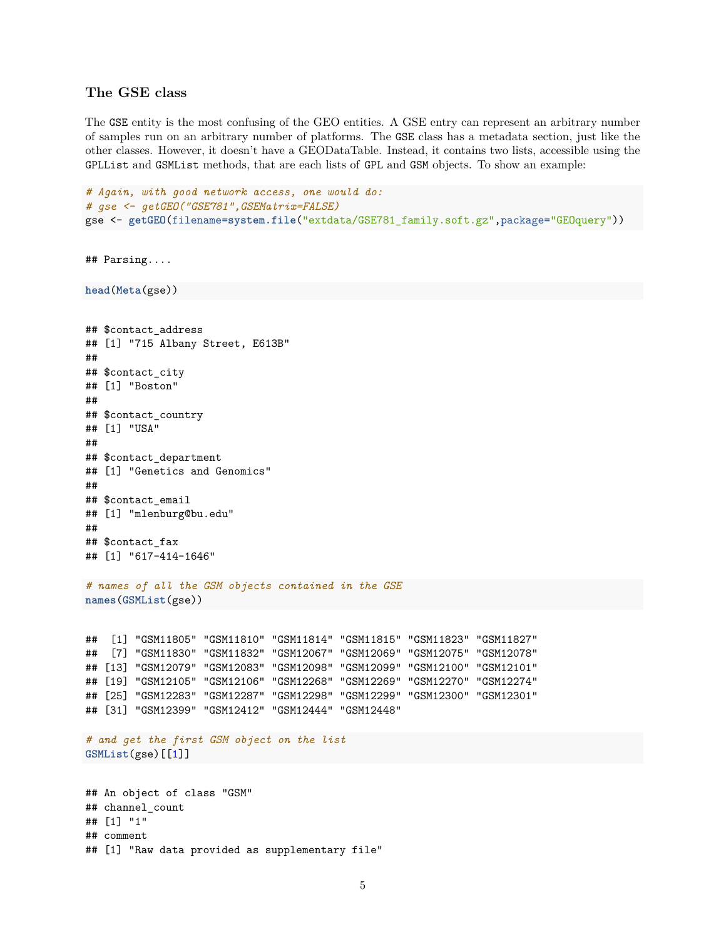#### **The GSE class**

<span id="page-4-0"></span>The GSE entity is the most confusing of the GEO entities. A GSE entry can represent an arbitrary number of samples run on an arbitrary number of platforms. The GSE class has a metadata section, just like the other classes. However, it doesn't have a GEODataTable. Instead, it contains two lists, accessible using the GPLList and GSMList methods, that are each lists of GPL and GSM objects. To show an example:

```
# Again, with good network access, one would do:
# gse <- getGEO("GSE781",GSEMatrix=FALSE)
gse <- getGEO(filename=system.file("extdata/GSE781_family.soft.gz",package="GEOquery"))
## Parsing....
head(Meta(gse))
## $contact_address
## [1] "715 Albany Street, E613B"
##
## $contact_city
## [1] "Boston"
##
## $contact_country
## [1] "USA"
##
## $contact_department
## [1] "Genetics and Genomics"
##
## $contact_email
## [1] "mlenburg@bu.edu"
##
## $contact_fax
## [1] "617-414-1646"
# names of all the GSM objects contained in the GSE
names(GSMList(gse))
## [1] "GSM11805" "GSM11810" "GSM11814" "GSM11815" "GSM11823" "GSM11827"
## [7] "GSM11830" "GSM11832" "GSM12067" "GSM12069" "GSM12075" "GSM12078"
## [13] "GSM12079" "GSM12083" "GSM12098" "GSM12099" "GSM12100" "GSM12101"
## [19] "GSM12105" "GSM12106" "GSM12268" "GSM12269" "GSM12270" "GSM12274"
## [25] "GSM12283" "GSM12287" "GSM12298" "GSM12299" "GSM12300" "GSM12301"
## [31] "GSM12399" "GSM12412" "GSM12444" "GSM12448"
# and get the first GSM object on the list
GSMList(gse)[[1]]
## An object of class "GSM"
## channel count
## [1] "1"
## comment
```
## [1] "Raw data provided as supplementary file"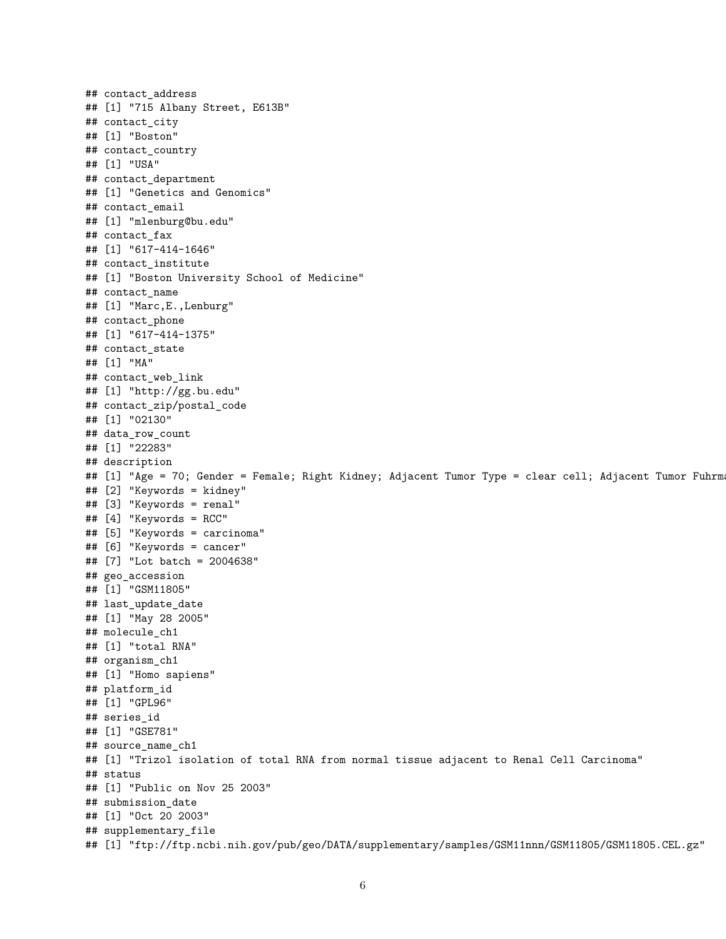## contact address ## [1] "715 Albany Street, E613B" ## contact\_city ## [1] "Boston" ## contact\_country ## [1] "USA" ## contact\_department ## [1] "Genetics and Genomics" ## contact\_email ## [1] "mlenburg@bu.edu" ## contact\_fax ## [1] "617-414-1646" ## contact\_institute ## [1] "Boston University School of Medicine" ## contact\_name ## [1] "Marc,E.,Lenburg" ## contact\_phone ## [1] "617-414-1375" ## contact\_state ## [1] "MA" ## contact\_web\_link ## [1] "http://gg.bu.edu" ## contact\_zip/postal\_code ## [1] "02130" ## data\_row\_count ## [1] "22283" ## description ## [1] "Age = 70; Gender = Female; Right Kidney; Adjacent Tumor Type = clear cell; Adjacent Tumor Fuhrm ## [2] "Keywords = kidney" ## [3] "Keywords = renal" ## [4] "Keywords = RCC" ## [5] "Keywords = carcinoma" ## [6] "Keywords = cancer" ## [7] "Lot batch = 2004638" ## geo\_accession ## [1] "GSM11805" ## last update date ## [1] "May 28 2005" ## molecule\_ch1 ## [1] "total RNA" ## organism\_ch1 ## [1] "Homo sapiens" ## platform\_id ## [1] "GPL96" ## series\_id ## [1] "GSE781" ## source\_name\_ch1 ## [1] "Trizol isolation of total RNA from normal tissue adjacent to Renal Cell Carcinoma" ## status ## [1] "Public on Nov 25 2003" ## submission\_date ## [1] "Oct 20 2003" ## supplementary\_file ## [1] "ftp://ftp.ncbi.nih.gov/pub/geo/DATA/supplementary/samples/GSM11nnn/GSM11805/GSM11805.CEL.gz"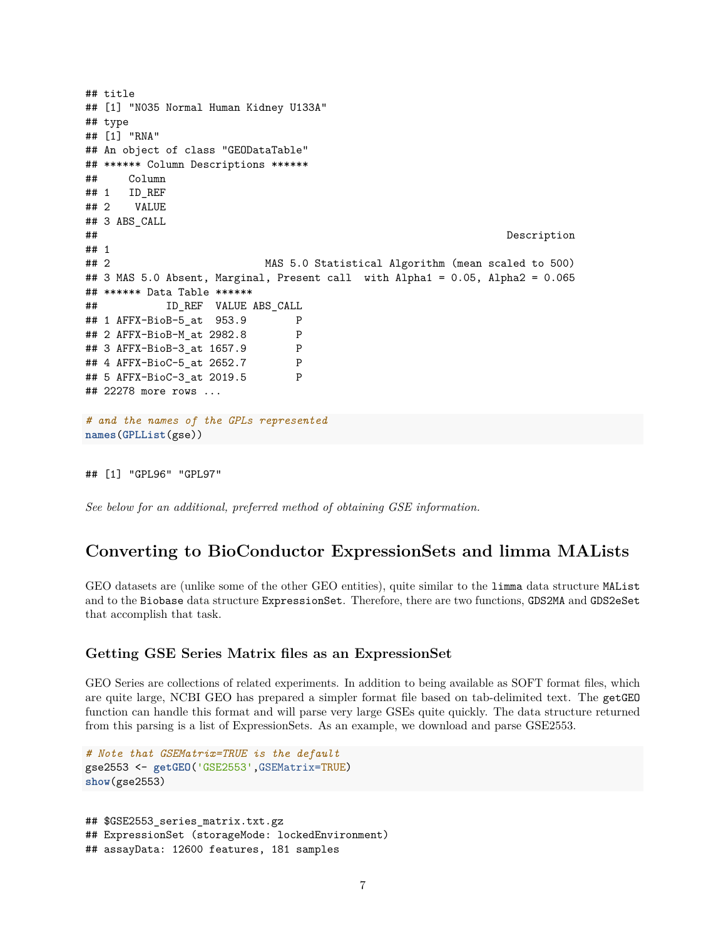```
## title
## [1] "N035 Normal Human Kidney U133A"
## type
## [1] "RNA"
## An object of class "GEODataTable"
## ****** Column Descriptions ******
## Column
## 1 ID_REF
## 2 VALUE
## 3 ABS_CALL
## Description
## 1
## 2 MAS 5.0 Statistical Algorithm (mean scaled to 500)
## 3 MAS 5.0 Absent, Marginal, Present call with Alpha1 = 0.05, Alpha2 = 0.065
## ****** Data Table ******
## ID_REF VALUE ABS_CALL
## 1 AFFX-BioB-5_at 953.9 P
## 2 AFFX-BioB-M_at 2982.8 P
## 3 AFFX-BioB-3_at 1657.9 P
## 4 AFFX-BioC-5_at 2652.7 P
## 5 AFFX-BioC-3_at 2019.5 P
## 22278 more rows ...
# and the names of the GPLs represented
names(GPLList(gse))
```
## [1] "GPL96" "GPL97"

*See below for an additional, preferred method of obtaining GSE information.*

## **Converting to BioConductor ExpressionSets and limma MALists**

<span id="page-6-0"></span>GEO datasets are (unlike some of the other GEO entities), quite similar to the limma data structure MAList and to the Biobase data structure ExpressionSet. Therefore, there are two functions, GDS2MA and GDS2eSet that accomplish that task.

#### **Getting GSE Series Matrix files as an ExpressionSet**

<span id="page-6-1"></span>GEO Series are collections of related experiments. In addition to being available as SOFT format files, which are quite large, NCBI GEO has prepared a simpler format file based on tab-delimited text. The getGEO function can handle this format and will parse very large GSEs quite quickly. The data structure returned from this parsing is a list of ExpressionSets. As an example, we download and parse GSE2553.

```
# Note that GSEMatrix=TRUE is the default
gse2553 <- getGEO('GSE2553',GSEMatrix=TRUE)
show(gse2553)
```

```
## $GSE2553_series_matrix.txt.gz
## ExpressionSet (storageMode: lockedEnvironment)
## assayData: 12600 features, 181 samples
```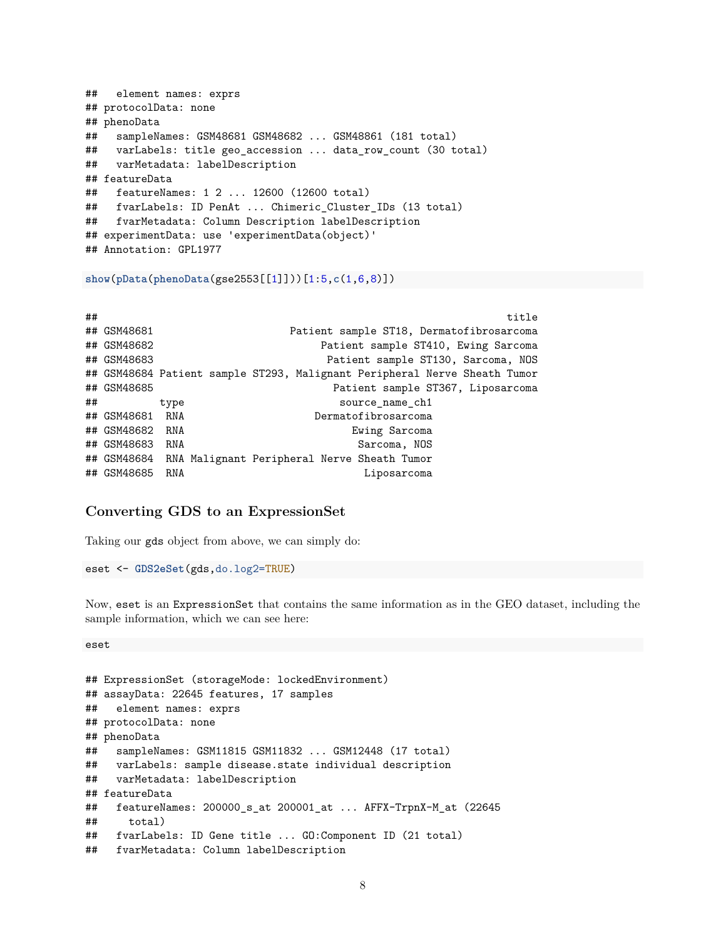```
## element names: exprs
## protocolData: none
## phenoData
## sampleNames: GSM48681 GSM48682 ... GSM48861 (181 total)
## varLabels: title geo_accession ... data_row_count (30 total)
## varMetadata: labelDescription
## featureData
## featureNames: 1 2 ... 12600 (12600 total)
## fvarLabels: ID PenAt ... Chimeric_Cluster_IDs (13 total)
## fvarMetadata: Column Description labelDescription
## experimentData: use 'experimentData(object)'
## Annotation: GPL1977
```
**show**(**pData**(**phenoData**(gse2553[[1]]))[1:5,**c**(1,6,8)])

|                                                          |                                                                  |                 | title                                                                                                                                                                                                                                                                                                                     |
|----------------------------------------------------------|------------------------------------------------------------------|-----------------|---------------------------------------------------------------------------------------------------------------------------------------------------------------------------------------------------------------------------------------------------------------------------------------------------------------------------|
|                                                          |                                                                  |                 |                                                                                                                                                                                                                                                                                                                           |
|                                                          |                                                                  |                 |                                                                                                                                                                                                                                                                                                                           |
|                                                          |                                                                  |                 |                                                                                                                                                                                                                                                                                                                           |
|                                                          |                                                                  |                 |                                                                                                                                                                                                                                                                                                                           |
|                                                          |                                                                  |                 |                                                                                                                                                                                                                                                                                                                           |
| type                                                     |                                                                  | source name ch1 |                                                                                                                                                                                                                                                                                                                           |
|                                                          |                                                                  |                 |                                                                                                                                                                                                                                                                                                                           |
|                                                          |                                                                  | Ewing Sarcoma   |                                                                                                                                                                                                                                                                                                                           |
| RNA                                                      |                                                                  | Sarcoma, NOS    |                                                                                                                                                                                                                                                                                                                           |
|                                                          |                                                                  |                 |                                                                                                                                                                                                                                                                                                                           |
| RNA                                                      |                                                                  | Liposarcoma     |                                                                                                                                                                                                                                                                                                                           |
| ## GSM48681<br>## GSM48682<br>## GSM48683<br>## GSM48685 | ## GSM48681 RNA<br>## GSM48682 RNA<br>## GSM48683<br>## GSM48685 |                 | Patient sample ST18, Dermatofibrosarcoma<br>Patient sample ST410, Ewing Sarcoma<br>Patient sample ST130, Sarcoma, NOS<br>## GSM48684 Patient sample ST293, Malignant Peripheral Nerve Sheath Tumor<br>Patient sample ST367, Liposarcoma<br>Dermatofibrosarcoma<br>## GSM48684 RNA Malignant Peripheral Nerve Sheath Tumor |

#### **Converting GDS to an ExpressionSet**

<span id="page-7-0"></span>Taking our gds object from above, we can simply do:

eset <- **GDS2eSet**(gds,do.log2=TRUE)

Now, eset is an ExpressionSet that contains the same information as in the GEO dataset, including the sample information, which we can see here:

eset

```
## ExpressionSet (storageMode: lockedEnvironment)
## assayData: 22645 features, 17 samples
## element names: exprs
## protocolData: none
## phenoData
## sampleNames: GSM11815 GSM11832 ... GSM12448 (17 total)
## varLabels: sample disease.state individual description
## varMetadata: labelDescription
## featureData
## featureNames: 200000_s_at 200001_at ... AFFX-TrpnX-M_at (22645
## total)
## fvarLabels: ID Gene title ... GO:Component ID (21 total)
## fvarMetadata: Column labelDescription
```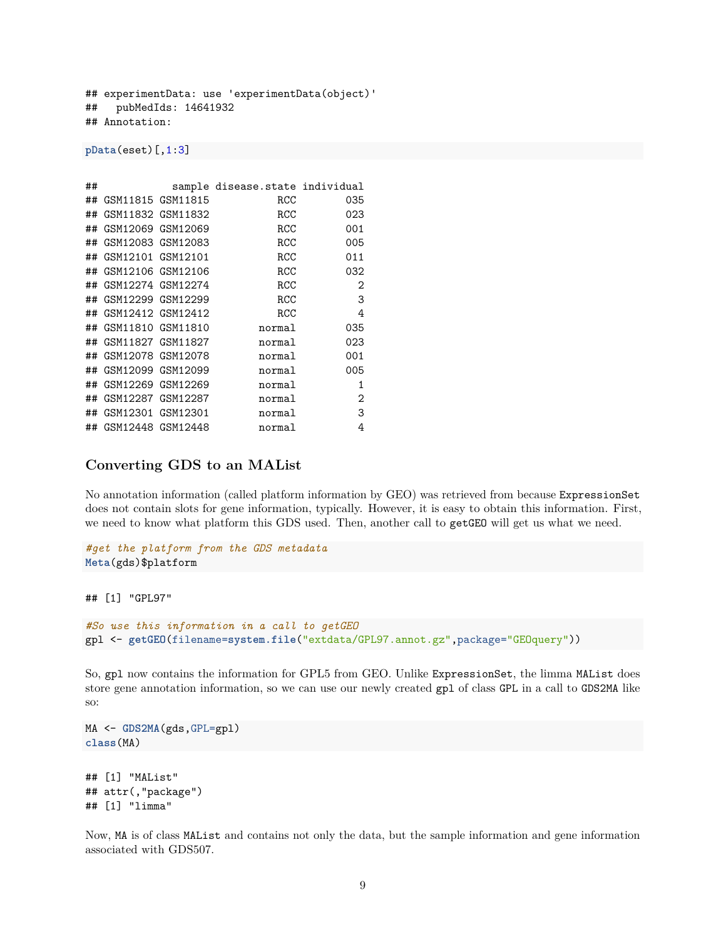## experimentData: use 'experimentData(object)' ## pubMedIds: 14641932 ## Annotation:

**pData**(eset)[,1:3]

| ## |                      |                   | sample disease.state individual |     |
|----|----------------------|-------------------|---------------------------------|-----|
| ## | GSM11815 GSM11815    |                   | RCC                             | 035 |
| ## | GSM11832 GSM11832    |                   | <b>RCC</b>                      | 023 |
| ## | GSM12069 GSM12069    |                   | RCC                             | 001 |
| ## | GSM12083 GSM12083    |                   | <b>RCC</b>                      | 005 |
| ## | GSM12101 GSM12101    |                   | RCC                             | 011 |
| ## | GSM12106 GSM12106    |                   | RCC                             | 032 |
| ## | GSM12274 GSM12274    |                   | RCC                             | 2   |
| ## | GSM12299 GSM12299    |                   | RCC                             | 3   |
| ## | GSM12412 GSM12412    |                   | RCC                             | 4   |
| ## | GSM11810 GSM11810    |                   | normal                          | 035 |
| ## | GSM11827 GSM11827    |                   | normal                          | 023 |
| ## | GSM12078 GSM12078    |                   | normal                          | 001 |
| ## | GSM12099 GSM12099    |                   | normal                          | 005 |
| ## | GSM12269 GSM12269    |                   | normal                          | 1   |
| ## |                      | GSM12287 GSM12287 | normal                          | 2   |
| ## | GSM12301 GSM12301    |                   | normal                          | 3   |
|    | ## GSM12448 GSM12448 |                   | normal                          | 4   |

#### **Converting GDS to an MAList**

<span id="page-8-0"></span>No annotation information (called platform information by GEO) was retrieved from because ExpressionSet does not contain slots for gene information, typically. However, it is easy to obtain this information. First, we need to know what platform this GDS used. Then, another call to getGEO will get us what we need.

```
#get the platform from the GDS metadata
Meta(gds)$platform
## [1] "GPL97"
#So use this information in a call to getGEO
gpl <- getGEO(filename=system.file("extdata/GPL97.annot.gz",package="GEOquery"))
```
So, gpl now contains the information for GPL5 from GEO. Unlike ExpressionSet, the limma MAList does store gene annotation information, so we can use our newly created gpl of class GPL in a call to GDS2MA like so:

```
MA <- GDS2MA(gds,GPL=gpl)
class(MA)
```

```
## [1] "MAList"
## attr(,"package")
## [1] "limma"
```
Now, MA is of class MAList and contains not only the data, but the sample information and gene information associated with GDS507.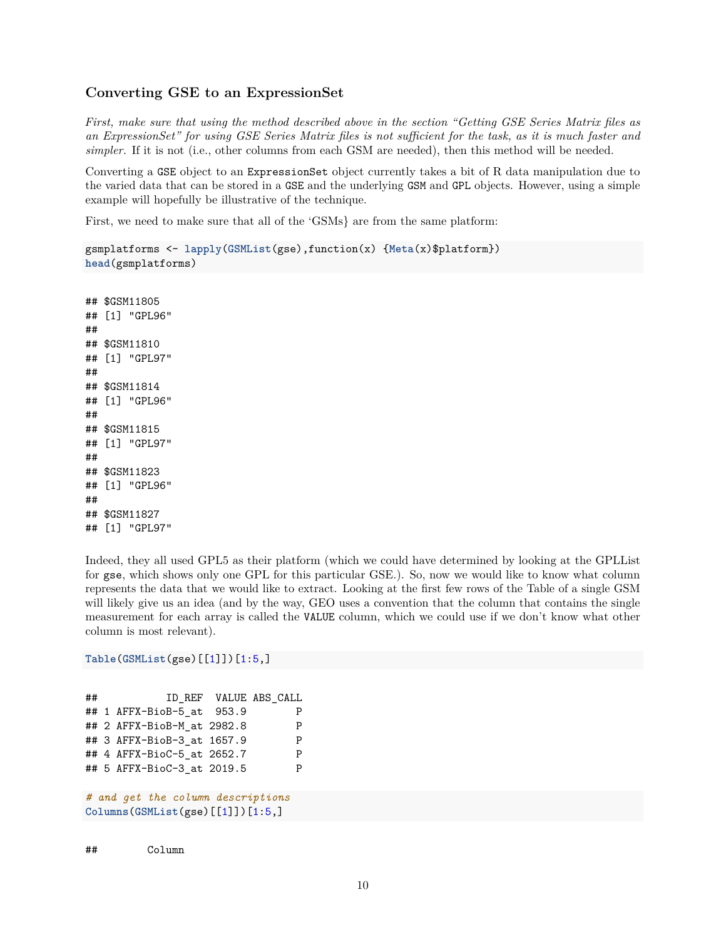#### **Converting GSE to an ExpressionSet**

<span id="page-9-0"></span>*First, make sure that using the method described above in the section "Getting GSE Series Matrix files as an ExpressionSet" for using GSE Series Matrix files is not sufficient for the task, as it is much faster and simpler.* If it is not (i.e., other columns from each GSM are needed), then this method will be needed.

Converting a GSE object to an ExpressionSet object currently takes a bit of R data manipulation due to the varied data that can be stored in a GSE and the underlying GSM and GPL objects. However, using a simple example will hopefully be illustrative of the technique.

First, we need to make sure that all of the 'GSMs} are from the same platform:

```
gsmplatforms <- lapply(GSMList(gse),function(x) {Meta(x)$platform})
head(gsmplatforms)
```

```
## $GSM11805
## [1] "GPL96"
##
## $GSM11810
## [1] "GPL97"
##
## $GSM11814
## [1] "GPL96"
##
## $GSM11815
## [1] "GPL97"
##
## $GSM11823
## [1] "GPL96"
##
## $GSM11827
## [1] "GPL97"
```
Indeed, they all used GPL5 as their platform (which we could have determined by looking at the GPLList for gse, which shows only one GPL for this particular GSE.). So, now we would like to know what column represents the data that we would like to extract. Looking at the first few rows of the Table of a single GSM will likely give us an idea (and by the way, GEO uses a convention that the column that contains the single measurement for each array is called the VALUE column, which we could use if we don't know what other column is most relevant).

#### **Table**(**GSMList**(gse)[[1]])[1:5,]

| ## |  |                            | ID REF VALUE ABS CALL             |   |
|----|--|----------------------------|-----------------------------------|---|
|    |  | ## 1 AFFX-BioB-5 at 953.9  |                                   | P |
|    |  | ## 2 AFFX-BioB-M at 2982.8 |                                   | P |
|    |  | ## 3 AFFX-BioB-3 at 1657.9 |                                   | P |
|    |  | ## 4 AFFX-BioC-5 at 2652.7 |                                   | P |
|    |  | ## 5 AFFX-BioC-3 at 2019.5 |                                   | P |
|    |  |                            |                                   |   |
|    |  |                            | # and get the column descriptions |   |

```
Columns(GSMList(gse)[[1]])[1:5,]
```
## Column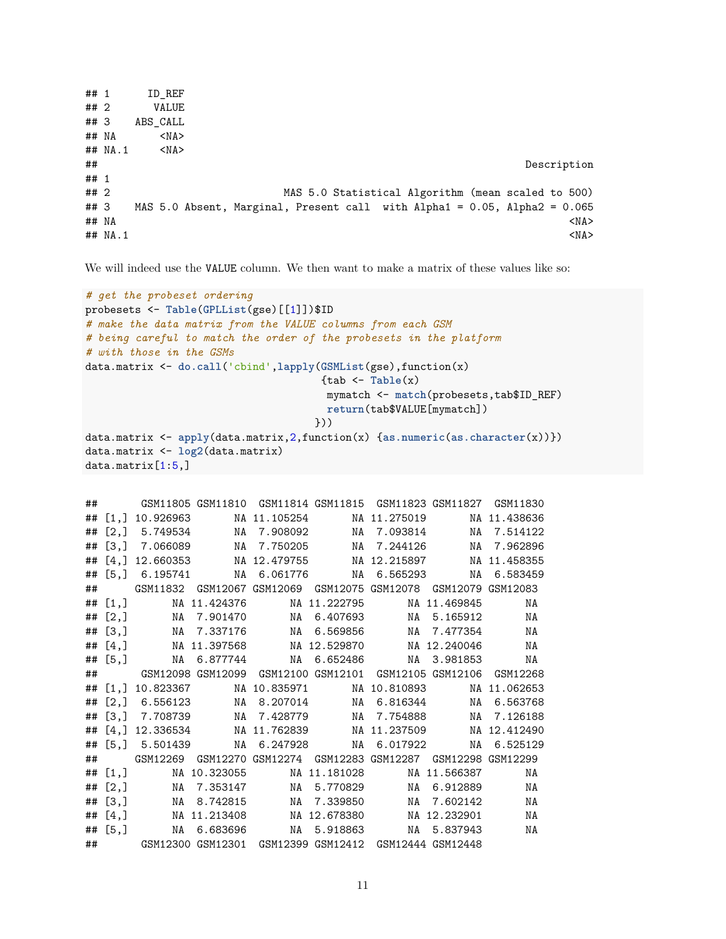```
## 1 ID REF
## 2 VALUE
## 3 ABS_CALL
## NA <NA>
## NA.1 <NA>
## Description
## 1
## 2 MAS 5.0 Statistical Algorithm (mean scaled to 500)
## 3 MAS 5.0 Absent, Marginal, Present call with Alpha1 = 0.05, Alpha2 = 0.065
## NA <NA>
\## NA.1 \leqNA>
```
We will indeed use the VALUE column. We then want to make a matrix of these values like so:

```
# get the probeset ordering
probesets <- Table(GPLList(gse)[[1]])$ID
# make the data matrix from the VALUE columns from each GSM
# being careful to match the order of the probesets in the platform
# with those in the GSMs
data.matrix <- do.call('cbind',lapply(GSMList(gse),function(x)
                                      {tab <- Table(x)
                                       mymatch <- match(probesets,tab$ID_REF)
                                       return(tab$VALUE[mymatch])
                                     }))
data.matrix <- apply(data.matrix,2,function(x) {as.numeric(as.character(x))})
data.matrix <- log2(data.matrix)
data.matrix[1:5,]
```

| ## |           |              |                                                          |                                                                   |    |
|----|-----------|--------------|----------------------------------------------------------|-------------------------------------------------------------------|----|
|    |           |              |                                                          | ## [1,] 10.926963 MA 11.105254 MA 11.275019 MA 11.438636          |    |
|    |           |              |                                                          | ## [2,] 5.749534 MA 7.908092 MA 7.093814 NA 7.514122              |    |
|    |           |              |                                                          | ## [3,] 7.066089 MA 7.750205 MA 7.244126 MA 7.962896              |    |
|    |           |              |                                                          | ## [4,] 12.660353 MA 12.479755 MA 12.215897 NA 11.458355          |    |
|    |           |              |                                                          | ## [5,] 6.195741 MA 6.061776 MA 6.565293 MA 6.583459              |    |
|    |           |              |                                                          | ## GSM11832 GSM12067 GSM12069 GSM12075 GSM12078 GSM12079 GSM12083 |    |
|    |           | ## $[1,]$    |                                                          | NA 11.424376 NA 11.222795 NA 11.469845                            | NA |
|    |           |              |                                                          | ## [2,] MA 7.901470 MA 6.407693 NA 5.165912 NA                    |    |
|    |           |              |                                                          | ## [3,] MA 7.337176 MA 6.569856 MA 7.477354 MA                    |    |
|    |           |              |                                                          | ## [4,] MA 11.397568 MA 12.529870 MA 12.240046 MA                 |    |
|    | ## $[5,]$ |              |                                                          | NA 6.877744 NA 6.652486 NA 3.981853                               | NA |
|    |           |              |                                                          | ## GSM12098 GSM12099 GSM12100 GSM12101 GSM12105 GSM12106 GSM12268 |    |
|    |           |              |                                                          | ## [1,] 10.823367 MA 10.835971 MA 10.810893 NA 11.062653          |    |
|    |           |              |                                                          | ## [2,] 6.556123 MA 8.207014 MA 6.816344 MA 6.563768              |    |
|    |           |              |                                                          | ## [3,] 7.708739 MA 7.428779 MA 7.754888 MA 7.126188              |    |
|    |           |              |                                                          | ## [4,] 12.336534 MA 11.762839 MA 11.237509 NA 12.412490          |    |
|    |           |              |                                                          |                                                                   |    |
|    |           |              |                                                          | ## GSM12269 GSM12270 GSM12274 GSM12283 GSM12287 GSM12298 GSM12299 |    |
|    |           |              |                                                          | ## [1,] MA 10.323055 MA 11.181028 MA 11.566387                    | NA |
|    |           |              |                                                          | ## [2,] MA 7.353147 MA 5.770829 MA 6.912889 MA                    |    |
|    |           | ## [3,]      |                                                          | NA 8.742815 NA 7.339850 NA 7.602142                               | ΝA |
|    |           | ## $[4,]$    |                                                          | NA 11.213408         NA 12.678380         NA 12.232901            | NA |
|    |           | $\# \#$ [5,] |                                                          | NA 6.683696 NA 5.918863 NA 5.837943                               | NA |
|    |           |              | ## GSM12300 GSM12301 GSM12399 GSM12412 GSM12444 GSM12448 |                                                                   |    |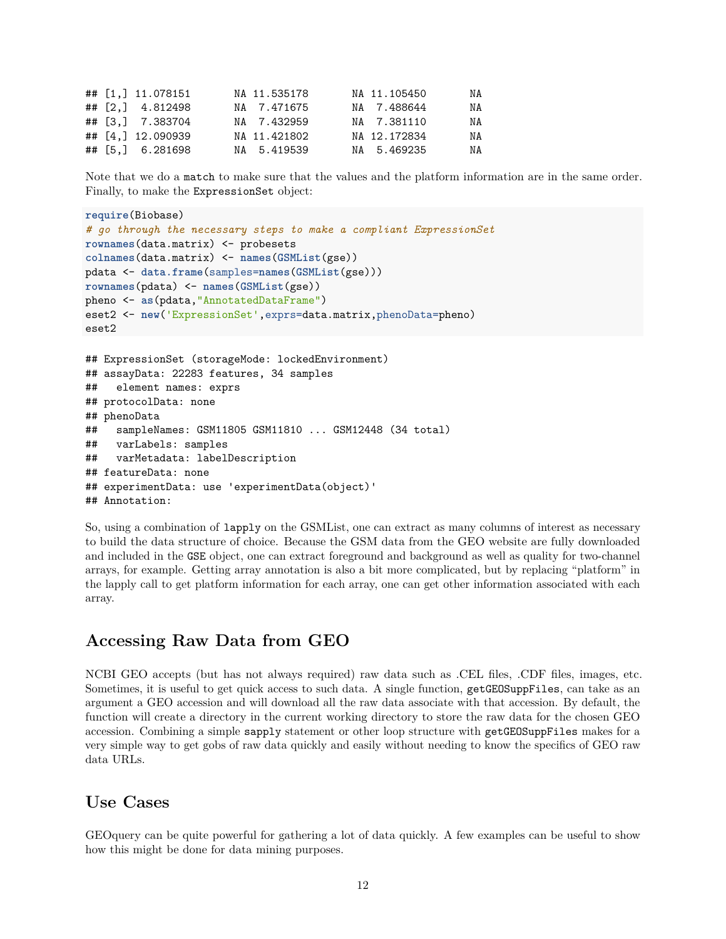|  | ## [1,] 11.078151 | NA 11.535178 | NA 11.105450 | NA |
|--|-------------------|--------------|--------------|----|
|  | ## [2,] 4.812498  | NA 7.471675  | NA 7.488644  | NA |
|  | ## [3,] 7.383704  | NA 7.432959  | NA 7.381110  | NA |
|  | ## [4,] 12.090939 | NA 11.421802 | NA 12.172834 | NA |
|  | ## [5,] 6.281698  | NA 5.419539  | NA 5.469235  | NA |

Note that we do a match to make sure that the values and the platform information are in the same order. Finally, to make the ExpressionSet object:

```
require(Biobase)
# go through the necessary steps to make a compliant ExpressionSet
rownames(data.matrix) <- probesets
colnames(data.matrix) <- names(GSMList(gse))
pdata <- data.frame(samples=names(GSMList(gse)))
rownames(pdata) <- names(GSMList(gse))
pheno <- as(pdata,"AnnotatedDataFrame")
eset2 <- new('ExpressionSet',exprs=data.matrix,phenoData=pheno)
eset2
## ExpressionSet (storageMode: lockedEnvironment)
## assayData: 22283 features, 34 samples
## element names: exprs
## protocolData: none
## phenoData
## sampleNames: GSM11805 GSM11810 ... GSM12448 (34 total)
## varLabels: samples
## varMetadata: labelDescription
## featureData: none
## experimentData: use 'experimentData(object)'
## Annotation:
```
So, using a combination of lapply on the GSMList, one can extract as many columns of interest as necessary to build the data structure of choice. Because the GSM data from the GEO website are fully downloaded and included in the GSE object, one can extract foreground and background as well as quality for two-channel arrays, for example. Getting array annotation is also a bit more complicated, but by replacing "platform" in the lapply call to get platform information for each array, one can get other information associated with each array.

## **Accessing Raw Data from GEO**

<span id="page-11-0"></span>NCBI GEO accepts (but has not always required) raw data such as .CEL files, .CDF files, images, etc. Sometimes, it is useful to get quick access to such data. A single function, getGEOSuppFiles, can take as an argument a GEO accession and will download all the raw data associate with that accession. By default, the function will create a directory in the current working directory to store the raw data for the chosen GEO accession. Combining a simple sapply statement or other loop structure with getGEOSuppFiles makes for a very simple way to get gobs of raw data quickly and easily without needing to know the specifics of GEO raw data URLs.

### **Use Cases**

<span id="page-11-1"></span>GEOquery can be quite powerful for gathering a lot of data quickly. A few examples can be useful to show how this might be done for data mining purposes.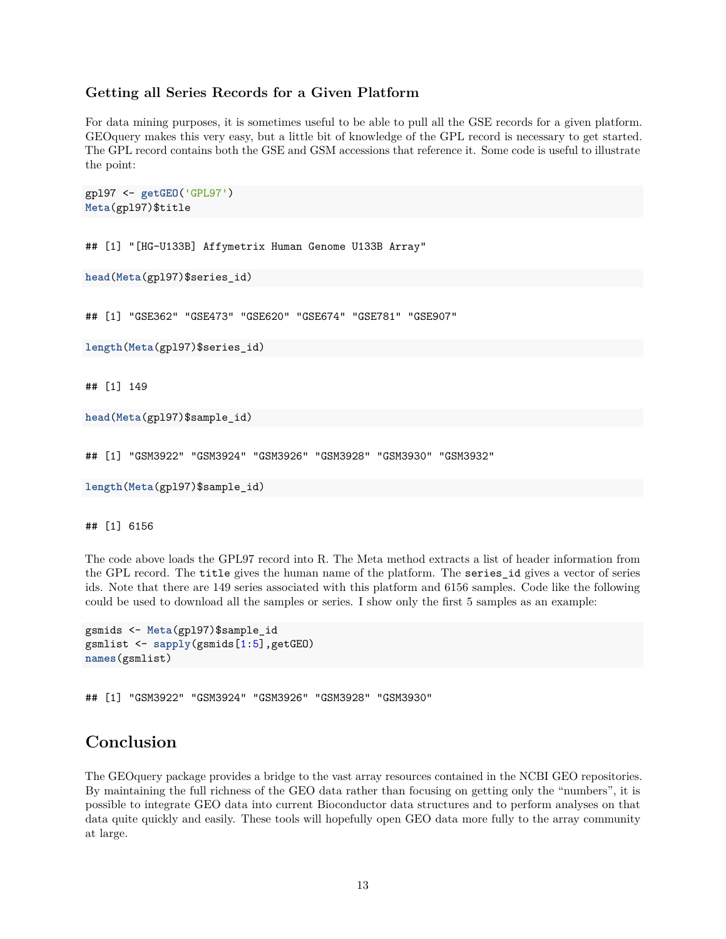#### **Getting all Series Records for a Given Platform**

<span id="page-12-0"></span>For data mining purposes, it is sometimes useful to be able to pull all the GSE records for a given platform. GEOquery makes this very easy, but a little bit of knowledge of the GPL record is necessary to get started. The GPL record contains both the GSE and GSM accessions that reference it. Some code is useful to illustrate the point:

```
gpl97 <- getGEO('GPL97')
Meta(gpl97)$title
```
## [1] "[HG-U133B] Affymetrix Human Genome U133B Array"

```
head(Meta(gpl97)$series_id)
```
## [1] "GSE362" "GSE473" "GSE620" "GSE674" "GSE781" "GSE907"

**length**(**Meta**(gpl97)\$series\_id)

## [1] 149

```
head(Meta(gpl97)$sample_id)
```
## [1] "GSM3922" "GSM3924" "GSM3926" "GSM3928" "GSM3930" "GSM3932"

```
length(Meta(gpl97)$sample_id)
```
## [1] 6156

The code above loads the GPL97 record into R. The Meta method extracts a list of header information from the GPL record. The title gives the human name of the platform. The series\_id gives a vector of series ids. Note that there are 149 series associated with this platform and 6156 samples. Code like the following could be used to download all the samples or series. I show only the first 5 samples as an example:

```
gsmids <- Meta(gpl97)$sample_id
gsmlist <- sapply(gsmids[1:5],getGEO)
names(gsmlist)
```
## [1] "GSM3922" "GSM3924" "GSM3926" "GSM3928" "GSM3930"

## **Conclusion**

<span id="page-12-1"></span>The GEOquery package provides a bridge to the vast array resources contained in the NCBI GEO repositories. By maintaining the full richness of the GEO data rather than focusing on getting only the "numbers", it is possible to integrate GEO data into current Bioconductor data structures and to perform analyses on that data quite quickly and easily. These tools will hopefully open GEO data more fully to the array community at large.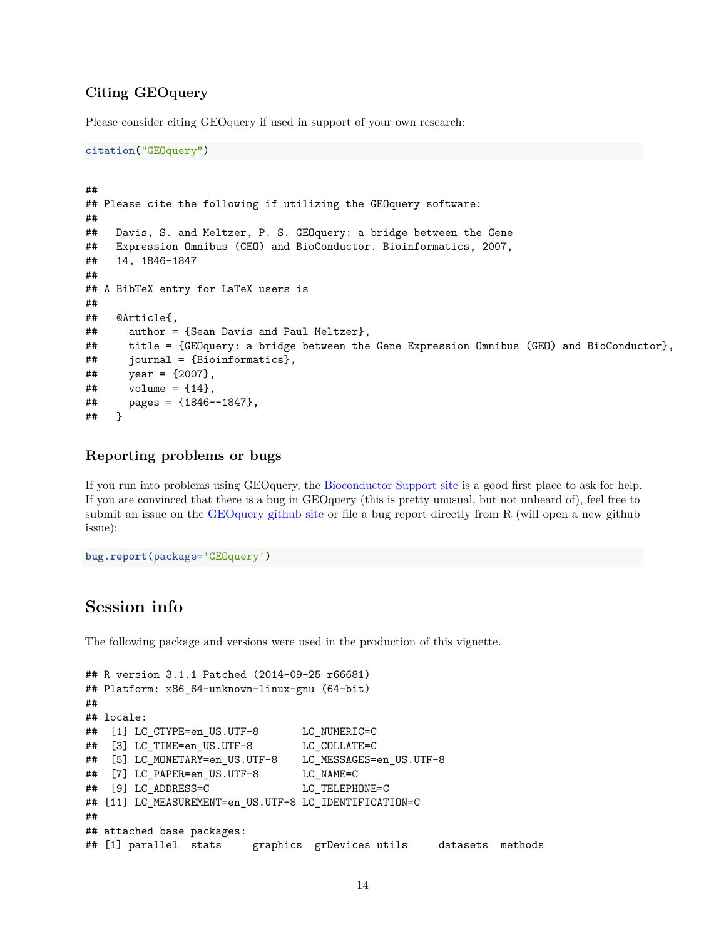#### **Citing GEOquery**

<span id="page-13-0"></span>Please consider citing GEOquery if used in support of your own research:

```
citation("GEOquery")
```

```
##
## Please cite the following if utilizing the GEOquery software:
##
## Davis, S. and Meltzer, P. S. GEOquery: a bridge between the Gene
## Expression Omnibus (GEO) and BioConductor. Bioinformatics, 2007,
## 14, 1846-1847
##
## A BibTeX entry for LaTeX users is
##
## @Article{,
## author = {Sean Davis and Paul Meltzer},
## title = {GEOquery: a bridge between the Gene Expression Omnibus (GEO) and BioConductor},
## journal = {Bioinformatics},
\# year = {2007},
\# volume = {14},
## pages = {1846--1847},
## }
```
#### **Reporting problems or bugs**

<span id="page-13-1"></span>If you run into problems using GEOquery, the [Bioconductor Support site](https://support.bioconductor.org/) is a good first place to ask for help. If you are convinced that there is a bug in GEOquery (this is pretty unusual, but not unheard of), feel free to submit an issue on the [GEOquery github site](https://github.com/seandavi/GEOquery) or file a bug report directly from R (will open a new github issue):

```
bug.report(package='GEOquery')
```
## **Session info**

<span id="page-13-2"></span>The following package and versions were used in the production of this vignette.

```
## R version 3.1.1 Patched (2014-09-25 r66681)
## Platform: x86_64-unknown-linux-gnu (64-bit)
##
## locale:
## [1] LC CTYPE=en US.UTF-8 LC NUMERIC=C
## [3] LC_TIME=en_US.UTF-8 LC_COLLATE=C
## [5] LC_MONETARY=en_US.UTF-8 LC_MESSAGES=en_US.UTF-8
## [7] LC_PAPER=en_US.UTF-8 LC_NAME=C
## [9] LC_ADDRESS=C LC_TELEPHONE=C
## [11] LC_MEASUREMENT=en_US.UTF-8 LC_IDENTIFICATION=C
##
## attached base packages:
## [1] parallel stats graphics grDevices utils datasets methods
```